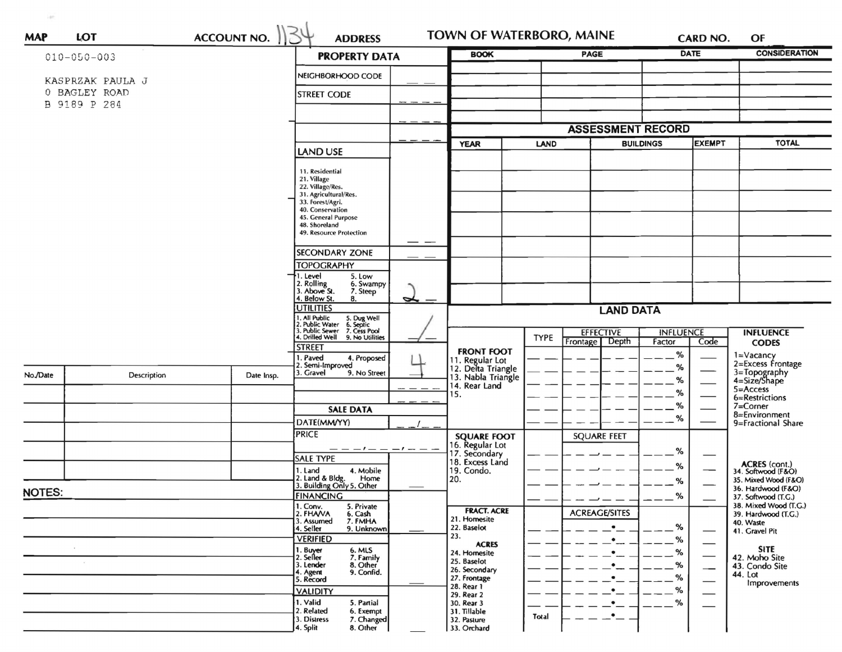| <b>ACCOUNT NO.</b><br>LOT<br><b>MAP</b> |                  |                                                                                        |                                                                        | <b>BOOK</b>                                                 | TOWN OF WATERBORO, MAINE<br><b>PAGE</b>              |                                     | <b>CONSIDERATION</b>                         |  |
|-----------------------------------------|------------------|----------------------------------------------------------------------------------------|------------------------------------------------------------------------|-------------------------------------------------------------|------------------------------------------------------|-------------------------------------|----------------------------------------------|--|
| $010 - 050 - 003$                       |                  |                                                                                        | <b>PROPERTY DATA</b>                                                   |                                                             |                                                      | <b>DATE</b>                         |                                              |  |
|                                         | KASPRZAK PAULA J |                                                                                        | NEIGHBORHOOD CODE                                                      |                                                             |                                                      |                                     |                                              |  |
| 0 BAGLEY ROAD                           |                  |                                                                                        | <b>STREET CODE</b>                                                     |                                                             |                                                      |                                     |                                              |  |
|                                         | B 9189 P 284     |                                                                                        |                                                                        |                                                             |                                                      |                                     |                                              |  |
|                                         |                  |                                                                                        |                                                                        |                                                             | <b>ASSESSMENT RECORD</b>                             |                                     |                                              |  |
|                                         |                  |                                                                                        |                                                                        | <b>YEAR</b>                                                 | <b>LAND</b>                                          | <b>EXEMPT</b><br><b>BUILDINGS</b>   | <b>TOTAL</b>                                 |  |
|                                         |                  |                                                                                        | LAND USE                                                               |                                                             |                                                      |                                     |                                              |  |
|                                         |                  |                                                                                        | 11. Residential<br>21. Village                                         |                                                             |                                                      |                                     |                                              |  |
|                                         |                  |                                                                                        | 22. Village/Res.<br>31. Agricultural/Res.                              |                                                             |                                                      |                                     |                                              |  |
|                                         |                  |                                                                                        | 33. Forest/Agri.<br>40. Conservation                                   |                                                             |                                                      |                                     |                                              |  |
|                                         |                  |                                                                                        | 45. General Purpose<br>48. Shoreland                                   |                                                             |                                                      |                                     |                                              |  |
|                                         |                  |                                                                                        | 49. Resource Protection                                                |                                                             |                                                      |                                     |                                              |  |
|                                         |                  |                                                                                        | <b>SECONDARY ZONE</b>                                                  |                                                             |                                                      |                                     |                                              |  |
|                                         |                  |                                                                                        | <b>TOPOGRAPHY</b><br>1. Level<br>5. Low                                |                                                             |                                                      |                                     |                                              |  |
|                                         |                  |                                                                                        | 2. Rolling<br>3. Above St.<br>6. Swampy<br>7. Steep                    |                                                             |                                                      |                                     |                                              |  |
|                                         |                  |                                                                                        | 4. Below St.<br>8.<br>◡<br><b>UTILITIES</b>                            |                                                             |                                                      |                                     |                                              |  |
|                                         |                  | 1. All Public 5. Dug Well<br>2. Public Water 6. Septic<br>3. Public Sewer 7. Cess Pool |                                                                        | <b>LAND DATA</b>                                            |                                                      |                                     |                                              |  |
|                                         |                  |                                                                                        | 4. Drilled Well<br>9. No Utilities                                     |                                                             | <b>EFFECTIVE</b><br><b>TYPE</b><br>Depth<br>Frontage | <b>INFLUENCE</b><br>Code<br>Factor  | <b>INFLUENCE</b><br><b>CODES</b>             |  |
|                                         |                  |                                                                                        | <b>STREET</b><br>1. Paved<br>4. Proposed                               | <b>FRONT FOOT</b>                                           |                                                      | %                                   | 1=Vacancy<br>2=Excess Frontage               |  |
| No./Date                                | Description      | Date Insp.                                                                             | 2. Semi-Improved<br>3. Gravel<br>9. No Street                          | 11. Regular Lot<br>12. Delta Triangle<br>13. Nabla Triangle |                                                      | %                                   | 3=Topography<br>4=Size/Shape                 |  |
|                                         |                  |                                                                                        |                                                                        | 14. Rear Land                                               |                                                      | %<br>%                              | $5 = Access$                                 |  |
|                                         |                  |                                                                                        |                                                                        | 15.                                                         |                                                      | %                                   | 6=Restrictions<br>$7 =$ Corner               |  |
|                                         |                  |                                                                                        | <b>SALE DATA</b><br>DATE(MM/YY)                                        |                                                             |                                                      | %                                   | 8=Environment<br>9=Fractional Share          |  |
|                                         |                  |                                                                                        | <b>PRICE</b>                                                           | <b>SQUARE FOOT</b>                                          | <b>SQUARE FEET</b>                                   |                                     |                                              |  |
|                                         |                  |                                                                                        | — — — / — — — / — — —                                                  | 16. Regular Lot<br>17. Secondary                            |                                                      | ℅                                   |                                              |  |
|                                         |                  |                                                                                        | <b>SALE TYPE</b><br>1. Land<br>4. Mobile                               | 18. Excess Land<br>19. Condo.                               |                                                      | %                                   | ACRES (cont.)<br>34. Softwood (F&O)          |  |
|                                         |                  |                                                                                        | 2. Land & Bldg.<br>Home<br>3. Building Only 5. Other                   | 20.                                                         |                                                      | ℅                                   | 35. Mixed Wood (F&O)<br>36. Hardwood (F&O)   |  |
| NOTES:                                  |                  |                                                                                        | <b>FINANCING</b>                                                       |                                                             |                                                      | %                                   | 37. Softwood (T.G.)<br>38. Mixed Wood (T.G.) |  |
|                                         |                  |                                                                                        | 1. Conv.<br>5. Private<br>2. FHAVA<br>6. Cash<br>7. FMHA<br>3. Assumed | <b>FRACT. ACRE</b><br>21. Homesite                          | <b>ACREAGE/SITES</b>                                 |                                     | 39. Hardwood (T.G.)                          |  |
|                                         |                  |                                                                                        | 4. Seller<br>9. Unknown                                                | 22. Baselot<br>23.                                          | $\bullet$                                            | $\%$                                | 40. Waste<br>41. Gravel Pit                  |  |
| $\mathcal{L}$                           |                  |                                                                                        | <b>VERIFIED</b><br>1. Buyer<br>2. Seller<br>6. MLS<br>7. Family        | <b>ACRES</b><br>24. Homesite                                | $\bullet$<br>$\bullet$                               | %<br>%                              | <b>SITE</b>                                  |  |
|                                         |                  |                                                                                        | 8. Other<br>3. Lender                                                  | 25. Baselot                                                 | $\bullet$                                            | $- -$ %<br>$\overline{\phantom{0}}$ | 42. Moho Site<br>43. Condo Site              |  |
|                                         |                  |                                                                                        | 9. Confid.<br>4. Agent<br>5. Record                                    | 26. Secondary<br>27. Frontage                               | $\bullet$                                            | $- -$ %                             | 44. Lot<br>Improvements                      |  |
|                                         |                  |                                                                                        | <b>VALIDITY</b>                                                        | 28. Rear 1<br>29. Rear 2                                    |                                                      | %                                   |                                              |  |
|                                         |                  |                                                                                        | 1. Valid<br>5. Partial<br>2. Related<br>6. Exempt                      | 30. Rear 3<br>31. Tillable                                  | $\bullet$<br>$\cdot$ $-$<br>Total                    | $- -$ %                             |                                              |  |
|                                         |                  |                                                                                        | 7. Changed<br>3. Distress<br>8. Other<br>4. Split                      | 32. Pasture<br>33. Orchard                                  |                                                      |                                     |                                              |  |